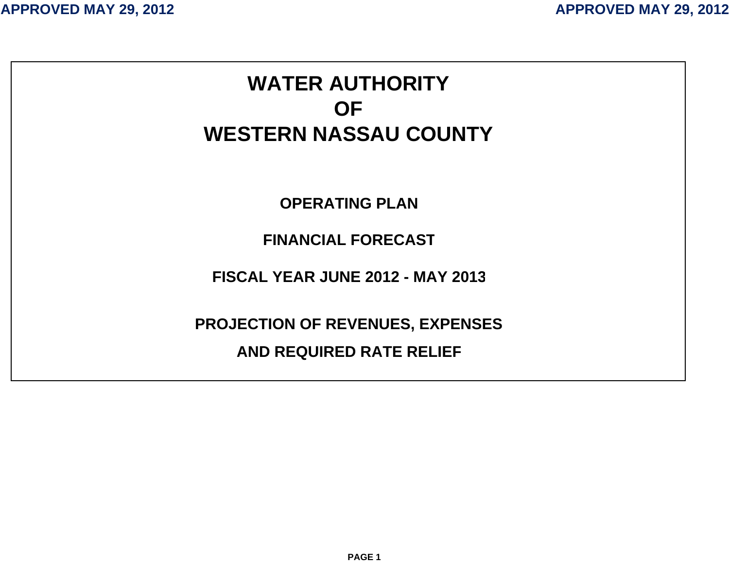# **WATER AUTHORITYOFWESTERN NASSAU COUNTYOPERATING PLANFINANCIAL FORECASTFISCAL YEAR JUNE 2012 - MAY 2013PROJECTION OF REVENUES, EXPENSES AND REQUIRED RATE RELIE F**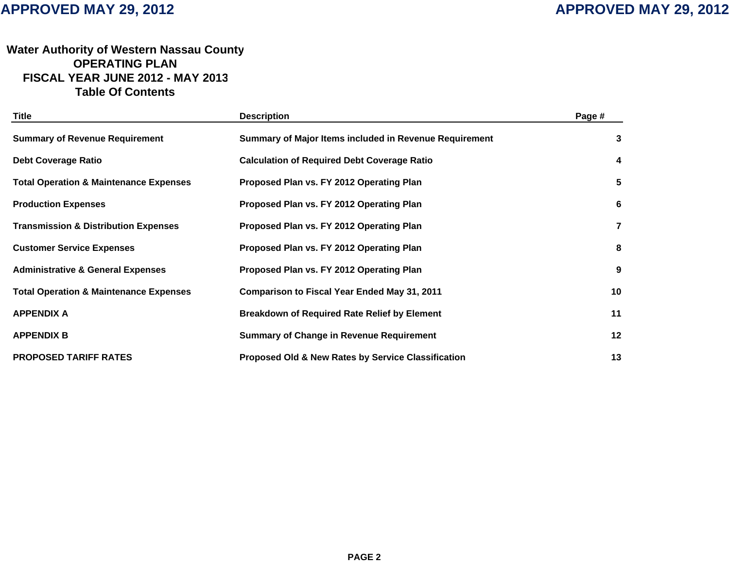## **Water Authority of Western Nassau Count y OPERATING PLANFISCAL YEAR JUNE 2012 - MAY 201 3 Table Of Contents**

| Title                                             | <b>Description</b>                                            | Page #         |
|---------------------------------------------------|---------------------------------------------------------------|----------------|
| <b>Summary of Revenue Requirement</b>             | Summary of Major Items included in Revenue Requirement        | 3              |
| <b>Debt Coverage Ratio</b>                        | <b>Calculation of Required Debt Coverage Ratio</b>            | 4              |
| <b>Total Operation &amp; Maintenance Expenses</b> | Proposed Plan vs. FY 2012 Operating Plan                      | 5              |
| <b>Production Expenses</b>                        | Proposed Plan vs. FY 2012 Operating Plan                      | 6              |
| <b>Transmission &amp; Distribution Expenses</b>   | Proposed Plan vs. FY 2012 Operating Plan                      | $\overline{7}$ |
| <b>Customer Service Expenses</b>                  | Proposed Plan vs. FY 2012 Operating Plan                      | 8              |
| <b>Administrative &amp; General Expenses</b>      | Proposed Plan vs. FY 2012 Operating Plan                      | 9              |
| <b>Total Operation &amp; Maintenance Expenses</b> | <b>Comparison to Fiscal Year Ended May 31, 2011</b>           | 10             |
| <b>APPENDIX A</b>                                 | <b>Breakdown of Required Rate Relief by Element</b>           | 11             |
| <b>APPENDIX B</b>                                 | <b>Summary of Change in Revenue Requirement</b>               | 12             |
| <b>PROPOSED TARIFF RATES</b>                      | <b>Proposed Old &amp; New Rates by Service Classification</b> | 13             |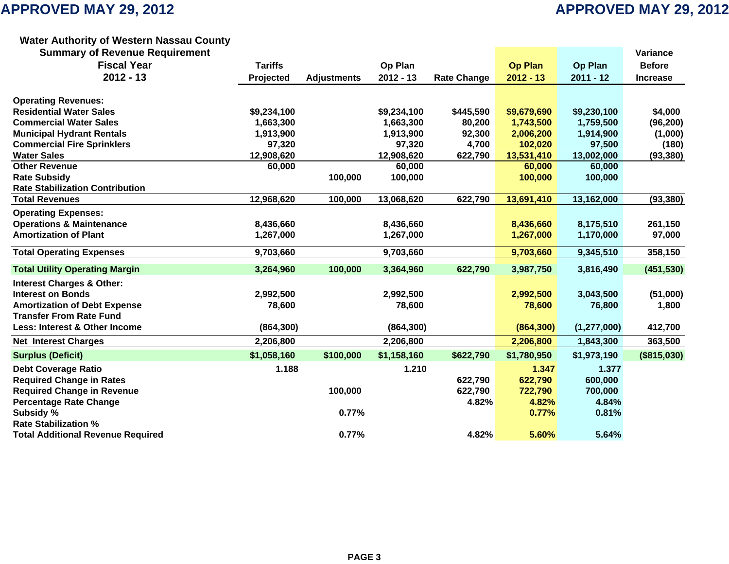### **Water Authority of Western Nassau Count y**

| <b>Summary of Revenue Requirement</b>    |                |                    |             |                    |                |               | Variance        |
|------------------------------------------|----------------|--------------------|-------------|--------------------|----------------|---------------|-----------------|
| <b>Fiscal Year</b>                       | <b>Tariffs</b> |                    | Op Plan     |                    | <b>Op Plan</b> | Op Plan       | <b>Before</b>   |
| $2012 - 13$                              | Projected      | <b>Adjustments</b> | $2012 - 13$ | <b>Rate Change</b> | $2012 - 13$    | $2011 - 12$   | <b>Increase</b> |
| <b>Operating Revenues:</b>               |                |                    |             |                    |                |               |                 |
| <b>Residential Water Sales</b>           | \$9,234,100    |                    | \$9,234,100 | \$445,590          | \$9,679,690    | \$9,230,100   | \$4,000         |
| <b>Commercial Water Sales</b>            | 1,663,300      |                    | 1,663,300   | 80,200             | 1,743,500      | 1,759,500     | (96, 200)       |
| <b>Municipal Hydrant Rentals</b>         | 1,913,900      |                    | 1,913,900   | 92,300             | 2,006,200      | 1,914,900     | (1,000)         |
| <b>Commercial Fire Sprinklers</b>        | 97,320         |                    | 97,320      | 4,700              | 102,020        | 97,500        | (180)           |
| <b>Water Sales</b>                       | 12,908,620     |                    | 12,908,620  | 622,790            | 13,531,410     | 13,002,000    | (93, 380)       |
| <b>Other Revenue</b>                     | 60,000         |                    | 60,000      |                    | 60,000         | 60,000        |                 |
| <b>Rate Subsidy</b>                      |                | 100,000            | 100,000     |                    | 100,000        | 100,000       |                 |
| <b>Rate Stabilization Contribution</b>   |                |                    |             |                    |                |               |                 |
| <b>Total Revenues</b>                    | 12,968,620     | 100,000            | 13,068,620  | 622,790            | 13,691,410     | 13,162,000    | (93, 380)       |
| <b>Operating Expenses:</b>               |                |                    |             |                    |                |               |                 |
| <b>Operations &amp; Maintenance</b>      | 8,436,660      |                    | 8,436,660   |                    | 8,436,660      | 8,175,510     | 261,150         |
| <b>Amortization of Plant</b>             | 1,267,000      |                    | 1,267,000   |                    | 1,267,000      | 1,170,000     | 97,000          |
| <b>Total Operating Expenses</b>          | 9,703,660      |                    | 9,703,660   |                    | 9,703,660      | 9,345,510     | 358,150         |
| <b>Total Utility Operating Margin</b>    | 3,264,960      | 100,000            | 3,364,960   | 622,790            | 3,987,750      | 3,816,490     | (451, 530)      |
| <b>Interest Charges &amp; Other:</b>     |                |                    |             |                    |                |               |                 |
| <b>Interest on Bonds</b>                 | 2,992,500      |                    | 2,992,500   |                    | 2,992,500      | 3,043,500     | (51,000)        |
| <b>Amortization of Debt Expense</b>      | 78,600         |                    | 78,600      |                    | 78,600         | 76,800        | 1,800           |
| <b>Transfer From Rate Fund</b>           |                |                    |             |                    |                |               |                 |
| Less: Interest & Other Income            | (864, 300)     |                    | (864, 300)  |                    | (864, 300)     | (1, 277, 000) | 412,700         |
| <b>Net Interest Charges</b>              | 2,206,800      |                    | 2,206,800   |                    | 2,206,800      | 1,843,300     | 363,500         |
| <b>Surplus (Deficit)</b>                 | \$1,058,160    | \$100,000          | \$1,158,160 | \$622,790          | \$1,780,950    | \$1,973,190   | (\$815,030)     |
| <b>Debt Coverage Ratio</b>               | 1.188          |                    | 1.210       |                    | 1.347          | 1.377         |                 |
| <b>Required Change in Rates</b>          |                |                    |             | 622,790            | 622,790        | 600,000       |                 |
| <b>Required Change in Revenue</b>        |                | 100,000            |             | 622,790            | 722,790        | 700,000       |                 |
| <b>Percentage Rate Change</b>            |                |                    |             | 4.82%              | 4.82%          | 4.84%         |                 |
| Subsidy %                                |                | 0.77%              |             |                    | 0.77%          | 0.81%         |                 |
| <b>Rate Stabilization %</b>              |                |                    |             |                    |                |               |                 |
| <b>Total Additional Revenue Required</b> |                | 0.77%              |             | 4.82%              | 5.60%          | 5.64%         |                 |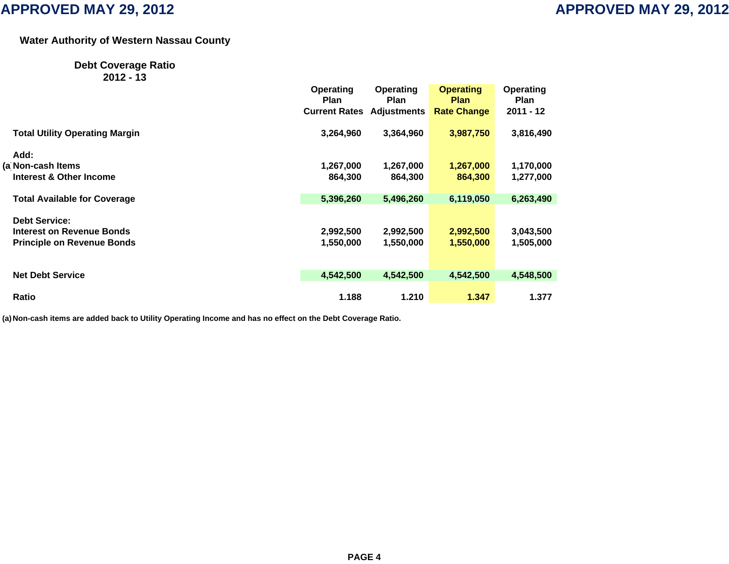## **Water Authority of Western Nassau Count y**

## **Debt Coverage Ratio**

**2012 - 13**

|                                       | Operating<br><b>Plan</b> | <b>Operating</b><br><b>Plan</b> | <b>Operating</b><br><b>Plan</b> | Operating<br>Plan |
|---------------------------------------|--------------------------|---------------------------------|---------------------------------|-------------------|
|                                       | <b>Current Rates</b>     | <b>Adjustments</b>              | <b>Rate Change</b>              | $2011 - 12$       |
| <b>Total Utility Operating Margin</b> | 3,264,960                | 3,364,960                       | 3,987,750                       | 3,816,490         |
| Add:                                  |                          |                                 |                                 |                   |
| (a Non-cash Items                     | 1,267,000                | 1,267,000                       | 1,267,000                       | 1,170,000         |
| Interest & Other Income               | 864,300                  | 864,300                         | 864,300                         | 1,277,000         |
| <b>Total Available for Coverage</b>   | 5,396,260                | 5,496,260                       | 6,119,050                       | 6,263,490         |
| <b>Debt Service:</b>                  |                          |                                 |                                 |                   |
| Interest on Revenue Bonds             | 2,992,500                | 2,992,500                       | 2,992,500                       | 3,043,500         |
| <b>Principle on Revenue Bonds</b>     | 1,550,000                | 1,550,000                       | 1,550,000                       | 1,505,000         |
| <b>Net Debt Service</b>               | 4,542,500                | 4,542,500                       | 4,542,500                       | 4,548,500         |
| Ratio                                 | 1.188                    | 1.210                           | 1.347                           | 1.377             |
|                                       |                          |                                 |                                 |                   |

**(a)Non-cash items are added back to Utility Operating Income and has no effect on the Debt Coverage Ratio.**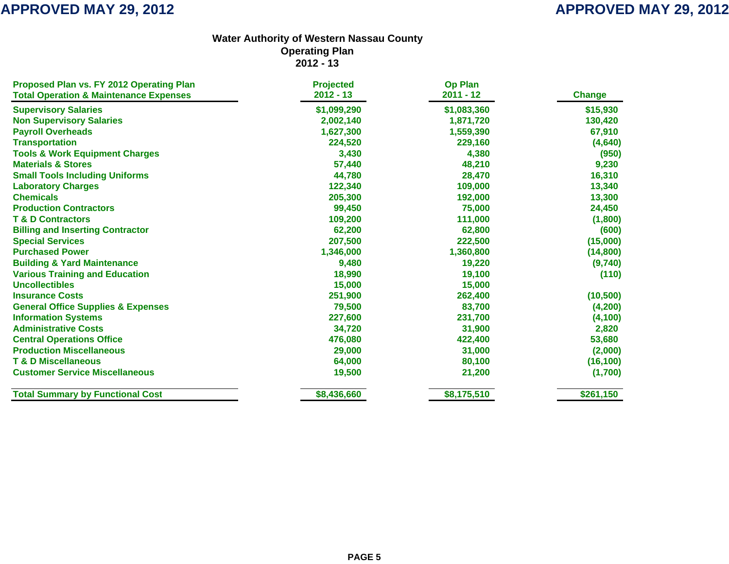| Proposed Plan vs. FY 2012 Operating Plan          | <b>Projected</b> | <b>Op Plan</b> |               |
|---------------------------------------------------|------------------|----------------|---------------|
| <b>Total Operation &amp; Maintenance Expenses</b> | $2012 - 13$      | $2011 - 12$    | <b>Change</b> |
| <b>Supervisory Salaries</b>                       | \$1,099,290      | \$1,083,360    | \$15,930      |
| <b>Non Supervisory Salaries</b>                   | 2,002,140        | 1,871,720      | 130,420       |
| <b>Payroll Overheads</b>                          | 1,627,300        | 1,559,390      | 67,910        |
| <b>Transportation</b>                             | 224,520          | 229,160        | (4,640)       |
| <b>Tools &amp; Work Equipment Charges</b>         | 3,430            | 4,380          | (950)         |
| <b>Materials &amp; Stores</b>                     | 57,440           | 48,210         | 9,230         |
| <b>Small Tools Including Uniforms</b>             | 44,780           | 28,470         | 16,310        |
| <b>Laboratory Charges</b>                         | 122,340          | 109,000        | 13,340        |
| <b>Chemicals</b>                                  | 205,300          | 192,000        | 13,300        |
| <b>Production Contractors</b>                     | 99,450           | 75,000         | 24,450        |
| <b>T &amp; D Contractors</b>                      | 109,200          | 111,000        | (1,800)       |
| <b>Billing and Inserting Contractor</b>           | 62,200           | 62,800         | (600)         |
| <b>Special Services</b>                           | 207,500          | 222,500        | (15,000)      |
| <b>Purchased Power</b>                            | 1,346,000        | 1,360,800      | (14, 800)     |
| <b>Building &amp; Yard Maintenance</b>            | 9,480            | 19,220         | (9,740)       |
| <b>Various Training and Education</b>             | 18,990           | 19,100         | (110)         |
| <b>Uncollectibles</b>                             | 15,000           | 15,000         |               |
| <b>Insurance Costs</b>                            | 251,900          | 262,400        | (10, 500)     |
| <b>General Office Supplies &amp; Expenses</b>     | 79,500           | 83,700         | (4, 200)      |
| <b>Information Systems</b>                        | 227,600          | 231,700        | (4, 100)      |
| <b>Administrative Costs</b>                       | 34,720           | 31,900         | 2,820         |
| <b>Central Operations Office</b>                  | 476,080          | 422,400        | 53,680        |
| <b>Production Miscellaneous</b>                   | 29,000           | 31,000         | (2,000)       |
| <b>T &amp; D Miscellaneous</b>                    | 64,000           | 80,100         | (16, 100)     |
| <b>Customer Service Miscellaneous</b>             | 19,500           | 21,200         | (1,700)       |
| <b>Total Summary by Functional Cost</b>           | \$8,436,660      | \$8,175,510    | \$261,150     |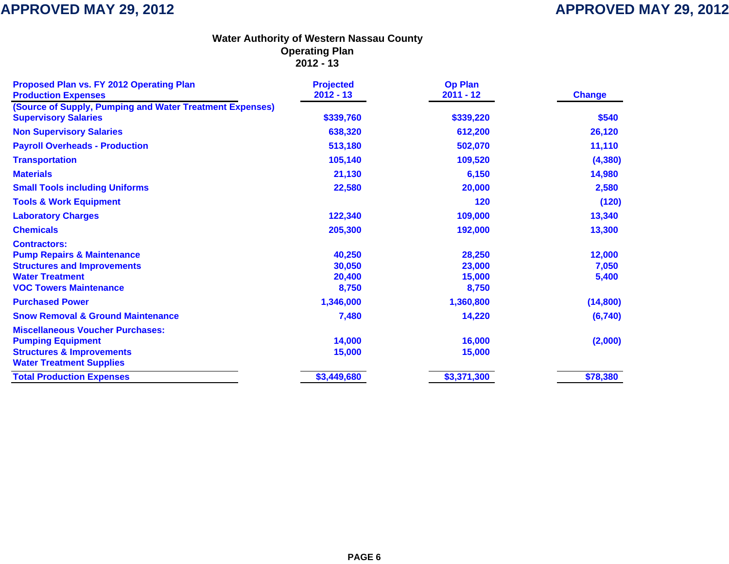| Proposed Plan vs. FY 2012 Operating Plan<br><b>Production Expenses</b>                  | <b>Projected</b><br>$2012 - 13$ | <b>Op Plan</b><br>$2011 - 12$ | <b>Change</b> |
|-----------------------------------------------------------------------------------------|---------------------------------|-------------------------------|---------------|
| (Source of Supply, Pumping and Water Treatment Expenses)<br><b>Supervisory Salaries</b> | \$339,760                       | \$339,220                     | \$540         |
| <b>Non Supervisory Salaries</b>                                                         | 638,320                         | 612,200                       | 26,120        |
| <b>Payroll Overheads - Production</b>                                                   | 513,180                         | 502,070                       | 11,110        |
| <b>Transportation</b>                                                                   | 105,140                         | 109,520                       | (4, 380)      |
| <b>Materials</b>                                                                        | 21,130                          | 6,150                         | 14,980        |
| <b>Small Tools including Uniforms</b>                                                   | 22,580                          | 20,000                        | 2,580         |
| <b>Tools &amp; Work Equipment</b>                                                       |                                 | 120                           | (120)         |
| <b>Laboratory Charges</b>                                                               | 122,340                         | 109,000                       | 13,340        |
| <b>Chemicals</b>                                                                        | 205,300                         | 192,000                       | 13,300        |
| <b>Contractors:</b>                                                                     |                                 |                               |               |
| <b>Pump Repairs &amp; Maintenance</b>                                                   | 40,250                          | 28,250                        | 12,000        |
| <b>Structures and Improvements</b>                                                      | 30,050                          | 23,000                        | 7,050         |
| <b>Water Treatment</b>                                                                  | 20,400                          | 15,000                        | 5,400         |
| <b>VOC Towers Maintenance</b>                                                           | 8,750                           | 8,750                         |               |
| <b>Purchased Power</b>                                                                  | 1,346,000                       | 1,360,800                     | (14,800)      |
| <b>Snow Removal &amp; Ground Maintenance</b>                                            | 7,480                           | 14,220                        | (6, 740)      |
| <b>Miscellaneous Voucher Purchases:</b>                                                 |                                 |                               |               |
| <b>Pumping Equipment</b>                                                                | 14,000                          | 16,000                        | (2,000)       |
| <b>Structures &amp; Improvements</b>                                                    | 15,000                          | 15,000                        |               |
| <b>Water Treatment Supplies</b>                                                         |                                 |                               |               |
| <b>Total Production Expenses</b>                                                        | \$3,449,680                     | \$3,371,300                   | \$78,380      |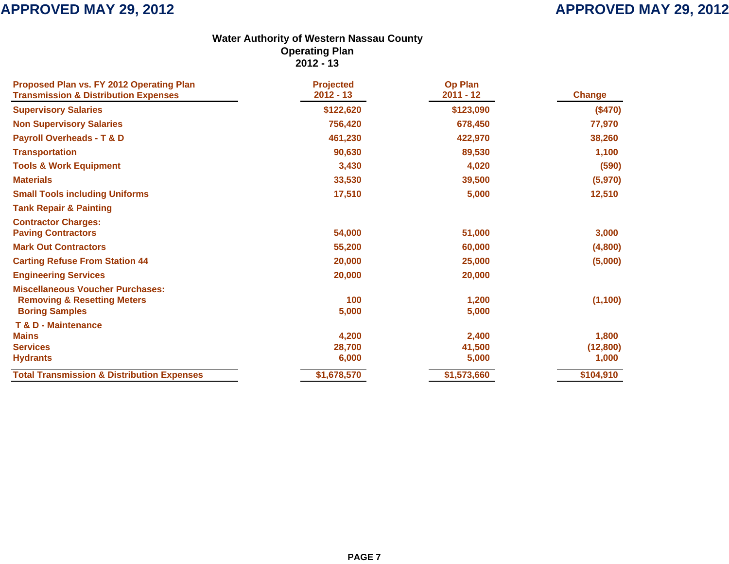| Proposed Plan vs. FY 2012 Operating Plan<br><b>Transmission &amp; Distribution Expenses</b> | <b>Projected</b><br>$2012 - 13$ | <b>Op Plan</b><br>$2011 - 12$ | <b>Change</b> |
|---------------------------------------------------------------------------------------------|---------------------------------|-------------------------------|---------------|
| <b>Supervisory Salaries</b>                                                                 | \$122,620                       | \$123,090                     | (\$470)       |
| <b>Non Supervisory Salaries</b>                                                             | 756,420                         | 678,450                       | 77,970        |
| <b>Payroll Overheads - T &amp; D</b>                                                        | 461,230                         | 422,970                       | 38,260        |
| <b>Transportation</b>                                                                       | 90,630                          | 89,530                        | 1,100         |
|                                                                                             |                                 |                               |               |
| <b>Tools &amp; Work Equipment</b>                                                           | 3,430                           | 4,020                         | (590)         |
| <b>Materials</b>                                                                            | 33,530                          | 39,500                        | (5,970)       |
| <b>Small Tools including Uniforms</b>                                                       | 17,510                          | 5,000                         | 12,510        |
| <b>Tank Repair &amp; Painting</b>                                                           |                                 |                               |               |
| <b>Contractor Charges:</b>                                                                  |                                 |                               |               |
| <b>Paving Contractors</b>                                                                   | 54,000                          | 51,000                        | 3,000         |
| <b>Mark Out Contractors</b>                                                                 | 55,200                          | 60,000                        | (4,800)       |
| <b>Carting Refuse From Station 44</b>                                                       | 20,000                          | 25,000                        | (5,000)       |
| <b>Engineering Services</b>                                                                 | 20,000                          | 20,000                        |               |
| <b>Miscellaneous Voucher Purchases:</b>                                                     |                                 |                               |               |
| <b>Removing &amp; Resetting Meters</b>                                                      | 100                             | 1,200                         | (1, 100)      |
| <b>Boring Samples</b>                                                                       | 5,000                           | 5,000                         |               |
| <b>T &amp; D - Maintenance</b>                                                              |                                 |                               |               |
| <b>Mains</b>                                                                                | 4,200                           | 2,400                         | 1,800         |
| <b>Services</b>                                                                             | 28,700                          | 41,500                        | (12, 800)     |
| <b>Hydrants</b>                                                                             | 6,000                           | 5,000                         | 1,000         |
| <b>Total Transmission &amp; Distribution Expenses</b>                                       | \$1,678,570                     | \$1,573,660                   | \$104,910     |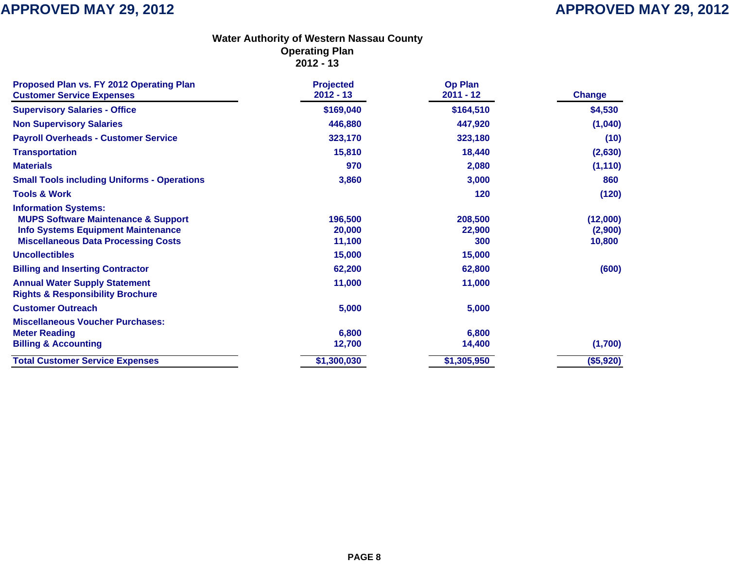| Proposed Plan vs. FY 2012 Operating Plan<br><b>Customer Service Expenses</b>                                                                                                                                                                                                                                                        | <b>Projected</b><br>$2012 - 13$                           | <b>Op Plan</b><br>$2011 - 12$                          | <b>Change</b>                          |
|-------------------------------------------------------------------------------------------------------------------------------------------------------------------------------------------------------------------------------------------------------------------------------------------------------------------------------------|-----------------------------------------------------------|--------------------------------------------------------|----------------------------------------|
| <b>Supervisory Salaries - Office</b>                                                                                                                                                                                                                                                                                                | \$169,040                                                 | \$164,510                                              | \$4,530                                |
| <b>Non Supervisory Salaries</b>                                                                                                                                                                                                                                                                                                     | 446,880                                                   | 447,920                                                | (1,040)                                |
| <b>Payroll Overheads - Customer Service</b>                                                                                                                                                                                                                                                                                         | 323,170                                                   | 323,180                                                | (10)                                   |
| <b>Transportation</b>                                                                                                                                                                                                                                                                                                               | 15,810                                                    | 18,440                                                 | (2,630)                                |
| <b>Materials</b>                                                                                                                                                                                                                                                                                                                    | 970                                                       | 2,080                                                  | (1, 110)                               |
| <b>Small Tools including Uniforms - Operations</b>                                                                                                                                                                                                                                                                                  | 3,860                                                     | 3,000                                                  | 860                                    |
| <b>Tools &amp; Work</b>                                                                                                                                                                                                                                                                                                             |                                                           | 120                                                    | (120)                                  |
| <b>Information Systems:</b><br><b>MUPS Software Maintenance &amp; Support</b><br><b>Info Systems Equipment Maintenance</b><br><b>Miscellaneous Data Processing Costs</b><br><b>Uncollectibles</b><br><b>Billing and Inserting Contractor</b><br><b>Annual Water Supply Statement</b><br><b>Rights &amp; Responsibility Brochure</b> | 196,500<br>20,000<br>11,100<br>15,000<br>62,200<br>11,000 | 208,500<br>22,900<br>300<br>15,000<br>62,800<br>11,000 | (12,000)<br>(2,900)<br>10,800<br>(600) |
| <b>Customer Outreach</b>                                                                                                                                                                                                                                                                                                            | 5,000                                                     | 5,000                                                  |                                        |
| <b>Miscellaneous Voucher Purchases:</b><br><b>Meter Reading</b><br><b>Billing &amp; Accounting</b>                                                                                                                                                                                                                                  | 6,800<br>12,700                                           | 6,800<br>14,400                                        | (1,700)                                |
| <b>Total Customer Service Expenses</b>                                                                                                                                                                                                                                                                                              | \$1,300,030                                               | \$1,305,950                                            | (\$5,920)                              |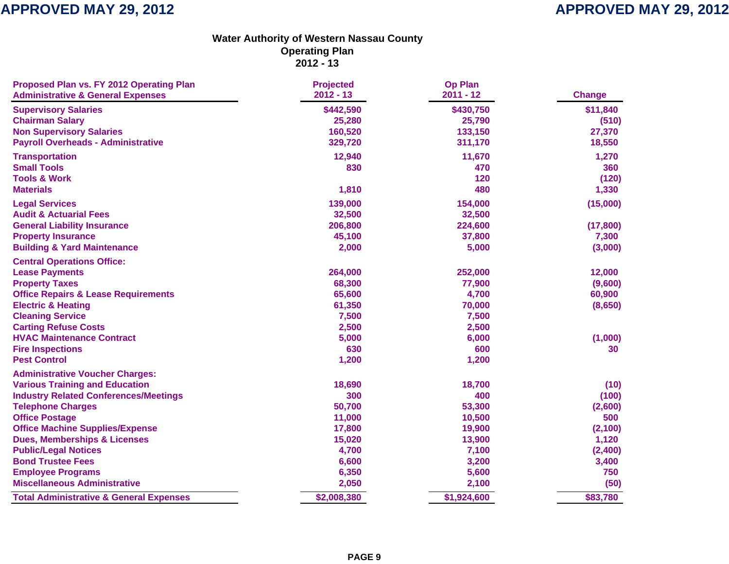| Proposed Plan vs. FY 2012 Operating Plan           | <b>Projected</b> | <b>Op Plan</b> |               |
|----------------------------------------------------|------------------|----------------|---------------|
| <b>Administrative &amp; General Expenses</b>       | $2012 - 13$      | $2011 - 12$    | <b>Change</b> |
| <b>Supervisory Salaries</b>                        | \$442,590        | \$430,750      | \$11,840      |
| <b>Chairman Salary</b>                             | 25,280           | 25,790         | (510)         |
| <b>Non Supervisory Salaries</b>                    | 160,520          | 133,150        | 27,370        |
| <b>Payroll Overheads - Administrative</b>          | 329,720          | 311,170        | 18,550        |
| <b>Transportation</b>                              | 12,940           | 11,670         | 1,270         |
| <b>Small Tools</b>                                 | 830              | 470            | 360           |
| <b>Tools &amp; Work</b>                            |                  | 120            | (120)         |
| <b>Materials</b>                                   | 1,810            | 480            | 1,330         |
| <b>Legal Services</b>                              | 139,000          | 154,000        | (15,000)      |
| <b>Audit &amp; Actuarial Fees</b>                  | 32,500           | 32,500         |               |
| <b>General Liability Insurance</b>                 | 206,800          | 224,600        | (17, 800)     |
| <b>Property Insurance</b>                          | 45,100           | 37,800         | 7,300         |
| <b>Building &amp; Yard Maintenance</b>             | 2,000            | 5,000          | (3,000)       |
| <b>Central Operations Office:</b>                  |                  |                |               |
| <b>Lease Payments</b>                              | 264,000          | 252,000        | 12,000        |
| <b>Property Taxes</b>                              | 68,300           | 77,900         | (9,600)       |
| <b>Office Repairs &amp; Lease Requirements</b>     | 65,600           | 4,700          | 60,900        |
| <b>Electric &amp; Heating</b>                      | 61,350           | 70,000         | (8,650)       |
| <b>Cleaning Service</b>                            | 7,500            | 7,500          |               |
| <b>Carting Refuse Costs</b>                        | 2,500            | 2,500          |               |
| <b>HVAC Maintenance Contract</b>                   | 5,000            | 6,000          | (1,000)       |
| <b>Fire Inspections</b>                            | 630              | 600            | 30            |
| <b>Pest Control</b>                                | 1,200            | 1,200          |               |
| <b>Administrative Voucher Charges:</b>             |                  |                |               |
| <b>Various Training and Education</b>              | 18,690           | 18,700         | (10)          |
| <b>Industry Related Conferences/Meetings</b>       | 300              | 400            | (100)         |
| <b>Telephone Charges</b>                           | 50,700           | 53,300         | (2,600)       |
| <b>Office Postage</b>                              | 11,000           | 10,500         | 500           |
| <b>Office Machine Supplies/Expense</b>             | 17,800           | 19,900         | (2, 100)      |
| <b>Dues, Memberships &amp; Licenses</b>            | 15,020           | 13,900         | 1,120         |
| <b>Public/Legal Notices</b>                        | 4,700            | 7,100          | (2,400)       |
| <b>Bond Trustee Fees</b>                           | 6,600            | 3,200          | 3,400         |
| <b>Employee Programs</b>                           | 6,350            | 5,600          | 750           |
| <b>Miscellaneous Administrative</b>                | 2,050            | 2,100          | (50)          |
| <b>Total Administrative &amp; General Expenses</b> | \$2,008,380      | \$1,924,600    | \$83,780      |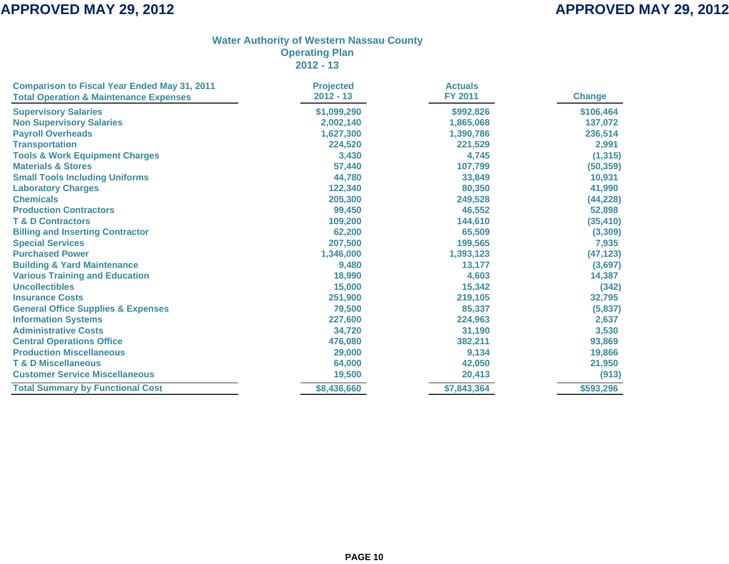| <b>Comparison to Fiscal Year Ended May 31, 2011</b> | <b>Projected</b> | <b>Actuals</b> |               |
|-----------------------------------------------------|------------------|----------------|---------------|
| <b>Total Operation &amp; Maintenance Expenses</b>   | $2012 - 13$      | <b>FY 2011</b> | <b>Change</b> |
| <b>Supervisory Salaries</b>                         | \$1,099,290      | \$992,826      | \$106,464     |
| <b>Non Supervisory Salaries</b>                     | 2,002,140        | 1,865,068      | 137,072       |
| <b>Payroll Overheads</b>                            | 1,627,300        | 1,390,786      | 236,514       |
| <b>Transportation</b>                               | 224,520          | 221,529        | 2,991         |
| <b>Tools &amp; Work Equipment Charges</b>           | 3,430            | 4,745          | (1, 315)      |
| <b>Materials &amp; Stores</b>                       | 57,440           | 107,799        | (50, 359)     |
| <b>Small Tools Including Uniforms</b>               | 44,780           | 33,849         | 10,931        |
| <b>Laboratory Charges</b>                           | 122,340          | 80,350         | 41,990        |
| <b>Chemicals</b>                                    | 205,300          | 249,528        | (44, 228)     |
| <b>Production Contractors</b>                       | 99,450           | 46,552         | 52,898        |
| <b>T &amp; D Contractors</b>                        | 109,200          | 144,610        | (35, 410)     |
| <b>Billing and Inserting Contractor</b>             | 62,200           | 65,509         | (3, 309)      |
| <b>Special Services</b>                             | 207,500          | 199,565        | 7,935         |
| <b>Purchased Power</b>                              | 1,346,000        | 1,393,123      | (47, 123)     |
| <b>Building &amp; Yard Maintenance</b>              | 9,480            | 13,177         | (3,697)       |
| <b>Various Training and Education</b>               | 18,990           | 4,603          | 14,387        |
| <b>Uncollectibles</b>                               | 15,000           | 15,342         | (342)         |
| <b>Insurance Costs</b>                              | 251,900          | 219,105        | 32,795        |
| <b>General Office Supplies &amp; Expenses</b>       | 79,500           | 85,337         | (5,837)       |
| <b>Information Systems</b>                          | 227,600          | 224,963        | 2,637         |
| <b>Administrative Costs</b>                         | 34,720           | 31,190         | 3,530         |
| <b>Central Operations Office</b>                    | 476,080          | 382,211        | 93,869        |
| <b>Production Miscellaneous</b>                     | 29,000           | 9,134          | 19,866        |
| <b>T &amp; D Miscellaneous</b>                      | 64,000           | 42,050         | 21,950        |
| <b>Customer Service Miscellaneous</b>               | 19,500           | 20,413         | (913)         |
| <b>Total Summary by Functional Cost</b>             | \$8,436,660      | \$7,843,364    | \$593,296     |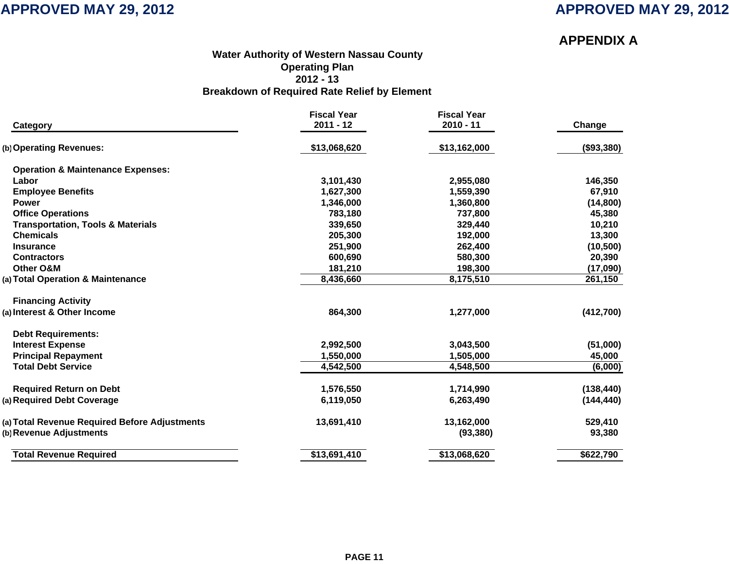## **APPENDIX A**

### **Water Authority of Western Nassau Count y Operating Plan 2012 - 13 Breakdown of Required Rate Relief by Element**

| Category                                      | <b>Fiscal Year</b><br>$2011 - 12$ | <b>Fiscal Year</b><br>$2010 - 11$ | Change     |
|-----------------------------------------------|-----------------------------------|-----------------------------------|------------|
|                                               |                                   |                                   |            |
| (b) Operating Revenues:                       | \$13,068,620                      | \$13,162,000                      | (\$93,380) |
| <b>Operation &amp; Maintenance Expenses:</b>  |                                   |                                   |            |
| Labor                                         | 3,101,430                         | 2,955,080                         | 146,350    |
| <b>Employee Benefits</b>                      | 1,627,300                         | 1,559,390                         | 67,910     |
| <b>Power</b>                                  | 1,346,000                         | 1,360,800                         | (14, 800)  |
| <b>Office Operations</b>                      | 783,180                           | 737,800                           | 45,380     |
| <b>Transportation, Tools &amp; Materials</b>  | 339,650                           | 329,440                           | 10,210     |
| <b>Chemicals</b>                              | 205,300                           | 192,000                           | 13,300     |
| <b>Insurance</b>                              | 251,900                           | 262,400                           | (10, 500)  |
| <b>Contractors</b>                            | 600,690                           | 580,300                           | 20,390     |
| <b>Other O&amp;M</b>                          | 181,210                           | 198,300                           | (17,090)   |
| (a) Total Operation & Maintenance             | 8,436,660                         | 8,175,510                         | 261,150    |
| <b>Financing Activity</b>                     |                                   |                                   |            |
| (a) Interest & Other Income                   | 864,300                           | 1,277,000                         | (412,700)  |
| <b>Debt Requirements:</b>                     |                                   |                                   |            |
| <b>Interest Expense</b>                       | 2,992,500                         | 3,043,500                         | (51,000)   |
| <b>Principal Repayment</b>                    | 1,550,000                         | 1,505,000                         | 45,000     |
| <b>Total Debt Service</b>                     | 4,542,500                         | 4,548,500                         | (6,000)    |
| <b>Required Return on Debt</b>                | 1,576,550                         | 1,714,990                         | (138, 440) |
| (a) Required Debt Coverage                    | 6,119,050                         | 6,263,490                         | (144, 440) |
| (a) Total Revenue Required Before Adjustments | 13,691,410                        | 13,162,000                        | 529,410    |
| (b) Revenue Adjustments                       |                                   | (93, 380)                         | 93,380     |
| <b>Total Revenue Required</b>                 | \$13,691,410                      | \$13,068,620                      | \$622,790  |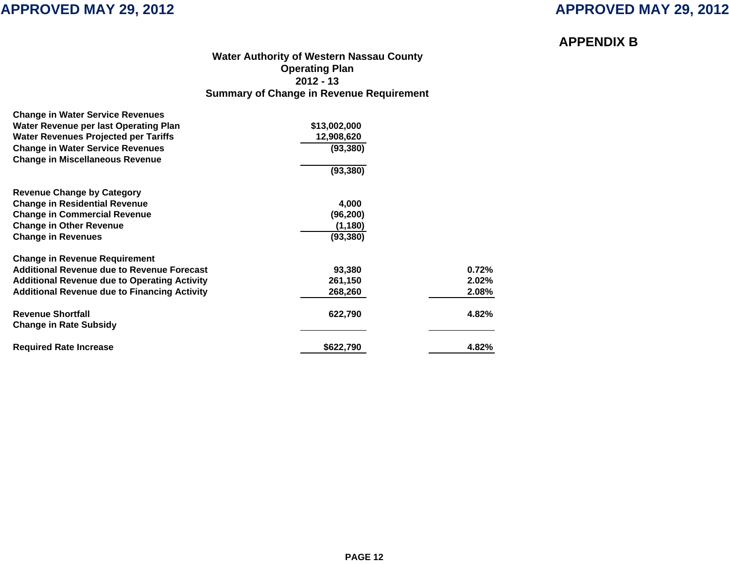## **APPENDIX B**

### **Water Authority of Western Nassau Count y Operating Plan 2012 - 13 Summary of Change in Revenue Requirement**

| \$13,002,000 |       |
|--------------|-------|
| 12,908,620   |       |
| (93, 380)    |       |
|              |       |
| (93, 380)    |       |
|              |       |
| 4,000        |       |
| (96, 200)    |       |
| (1, 180)     |       |
| (93, 380)    |       |
|              |       |
| 93,380       | 0.72% |
| 261,150      | 2.02% |
| 268,260      | 2.08% |
| 622,790      | 4.82% |
|              |       |
| \$622,790    | 4.82% |
|              |       |